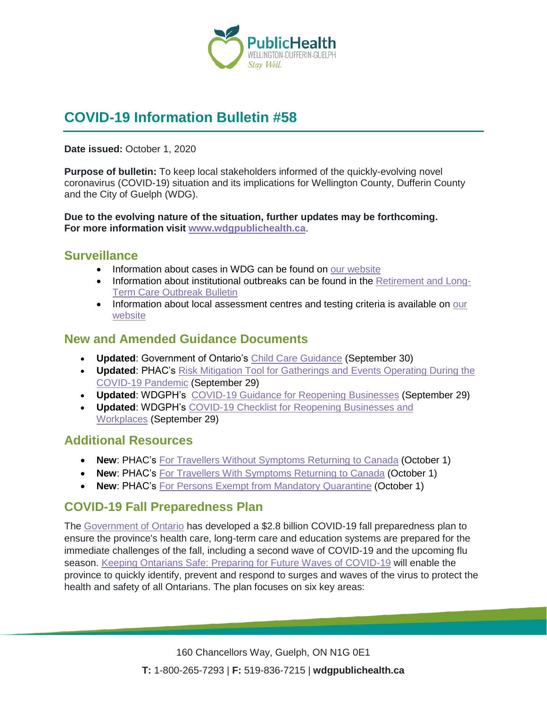

# **COVID-19 Information Bulletin #58**

**Date issued:** October 1, 2020

**Purpose of bulletin:** To keep local stakeholders informed of the quickly-evolving novel coronavirus (COVID-19) situation and its implications for Wellington County, Dufferin County and the City of Guelph (WDG).

**Due to the evolving nature of the situation, further updates may be forthcoming. For more information visit [www.wdgpublichealth.ca](http://www.wdgpublichealth.ca/)**.

#### **Surveillance**

- Information about cases in WDG can be found on [our website](https://wdgpublichealth.ca/your-health/covid-19-information-public/status-cases-wdg)
- Information about institutional outbreaks can be found in the [Retirement and Long-](https://wdgpublichealth.ca/node/1542)[Term Care Outbreak Bulletin](https://wdgpublichealth.ca/node/1542)
- Information about local assessment centres and testing criteria is available on our [website](https://www.wdgpublichealth.ca/your-health/covid-19-information-public/assessment-centres-wdg)

### **New and Amended Guidance Documents**

- **Updated**: Government of Ontario's [Child Care Guidance](https://www.ontario.ca/page/covid-19-reopening-child-care-centres) (September 30)
- **Updated**: PHAC's [Risk Mitigation Tool for Gatherings and Events Operating During the](https://www.canada.ca/en/public-health/services/diseases/2019-novel-coronavirus-infection/health-professionals/mass-gatherings-risk-assesment.html)  [COVID-19 Pandemic](https://www.canada.ca/en/public-health/services/diseases/2019-novel-coronavirus-infection/health-professionals/mass-gatherings-risk-assesment.html) (September 29)
- **Updated**: WDGPH's [COVID-19 Guidance for Reopening Businesses](https://www.wdgpublichealth.ca/sites/default/files/covid-19_guidance_for_reopening_businesses_july_23_2020.pdf) (September 29)
- **Updated**: WDGPH's [COVID-19 Checklist for Reopening Businesses and](https://www.wdgpublichealth.ca/sites/default/files/covid-19_checklist_for_reopening_businesses_july_23_2020.pdf)  [Workplaces](https://www.wdgpublichealth.ca/sites/default/files/covid-19_checklist_for_reopening_businesses_july_23_2020.pdf) (September 29)

#### **Additional Resources**

- **New: PHAC's [For Travellers Without Symptoms Returning to Canada](https://www.canada.ca/en/public-health/services/publications/diseases-conditions/2019-novel-coronavirus-information-sheet.html) (October 1)**
- **New: PHAC's [For Travellers With Symptoms Returning to Canada](https://www.canada.ca/en/public-health/services/publications/diseases-conditions/travellers-with-symptoms-return-canada.html) (October 1)**
- **New: PHAC's [For Persons Exempt from Mandatory Quarantine](https://www.canada.ca/en/public-health/services/publications/diseases-conditions/covid-19-information-essential-service-workers.html) (October 1)**

## **COVID-19 Fall Preparedness Plan**

The [Government of Ontario](https://news.ontario.ca/en/release/58610/ontario-delivers-28-billion-covid-19-fall-preparedness-plan) has developed a \$2.8 billion COVID-19 fall preparedness plan to ensure the province's health care, long-term care and education systems are prepared for the immediate challenges of the fall, including a second wave of COVID-19 and the upcoming flu season. [Keeping Ontarians Safe: Preparing for Future Waves of COVID-19](https://files.ontario.ca/moh-preparing-for-future-waves-of-covid-19-en-2020-09-30-v1.pdf) will enable the province to quickly identify, prevent and respond to surges and waves of the virus to protect the health and safety of all Ontarians. The plan focuses on six key areas: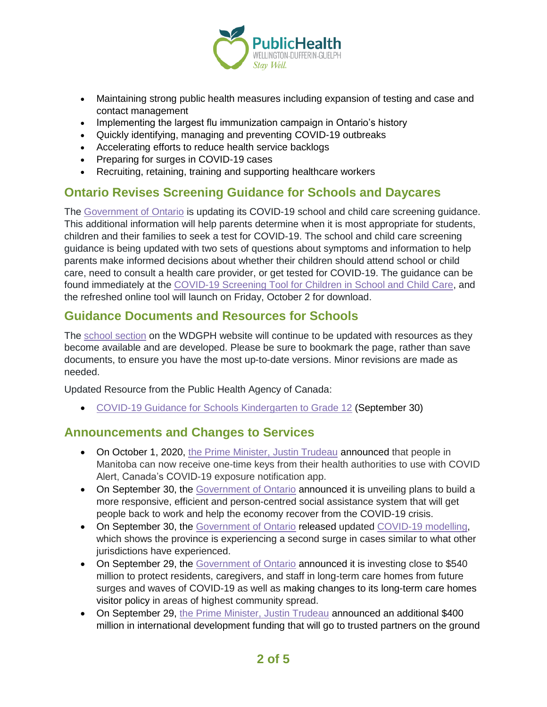

- Maintaining strong public health measures including expansion of testing and case and contact management
- Implementing the largest flu immunization campaign in Ontario's history
- Quickly identifying, managing and preventing COVID-19 outbreaks
- Accelerating efforts to reduce health service backlogs
- Preparing for surges in COVID-19 cases
- Recruiting, retaining, training and supporting healthcare workers

## **Ontario Revises Screening Guidance for Schools and Daycares**

The [Government of Ontario](https://news.ontario.ca/en/release/58629/ontario-revises-covid-19-screening-guidance-for-schools-and-child-care) is updating its COVID-19 school and child care screening guidance. This additional information will help parents determine when it is most appropriate for students, children and their families to seek a test for COVID-19. The school and child care screening guidance is being updated with two sets of questions about symptoms and information to help parents make informed decisions about whether their children should attend school or child care, need to consult a health care provider, or get tested for COVID-19. The guidance can be found immediately at the [COVID-19 Screening Tool for Children in School and Child Care,](https://covid-19.ontario.ca/school-screening/) and the refreshed online tool will launch on Friday, October 2 for download.

## **Guidance Documents and Resources for Schools**

The [school section](https://www.wdgpublichealth.ca/your-health/covid-19-information-schools-parents-and-teachers/schools-and-post-secondary) on the WDGPH website will continue to be updated with resources as they become available and are developed. Please be sure to bookmark the page, rather than save documents, to ensure you have the most up-to-date versions. Minor revisions are made as needed.

Updated Resource from the Public Health Agency of Canada:

• [COVID-19 Guidance for Schools Kindergarten to Grade 12](https://www.canada.ca/en/public-health/services/diseases/2019-novel-coronavirus-infection/health-professionals/guidance-schools-childcare-programs.html) (September 30)

#### **Announcements and Changes to Services**

- On October 1, 2020, [the Prime Minister, Justin Trudeau](https://pm.gc.ca/en/news/news-releases/2020/10/01/canadas-covid-19-exposure-notification-app-now-available-manitoba) announced that people in Manitoba can now receive one-time keys from their health authorities to use with COVID Alert, Canada's COVID-19 exposure notification app.
- On September 30, the [Government of Ontario](https://news.ontario.ca/en/release/58607/ontario-modernizes-social-assistance-to-help-more-people-re-enter-the-workforce) announced it is unveiling plans to build a more responsive, efficient and person-centred social assistance system that will get people back to work and help the economy recover from the COVID-19 crisis.
- On September 30, the [Government of Ontario](https://news.ontario.ca/en/release/58602/ontario-releases-updated-covid-19-modelling-for-second-wave) released updated [COVID-19 modelling,](https://files.ontario.ca/moh-fall-prep-modelling-deck-en-2020-09-30-v2.pdf) which shows the province is experiencing a second surge in cases similar to what other jurisdictions have experienced.
- On September 29, the [Government of Ontario](https://news.ontario.ca/en/release/58590/ontario-providing-over-half-a-billion-dollars-to-protect-vulnerable-seniors-against-second-wave-of-c) announced it is investing close to \$540 million to protect residents, caregivers, and staff in long-term care homes from future surges and waves of COVID-19 as well as making changes to its long-term care homes visitor policy in areas of highest community spread.
- On September 29, [the Prime Minister, Justin Trudeau](https://pm.gc.ca/en/news/news-releases/2020/09/29/prime-minister-co-chairs-high-level-meeting-address-economic) announced an additional \$400 million in international development funding that will go to trusted partners on the ground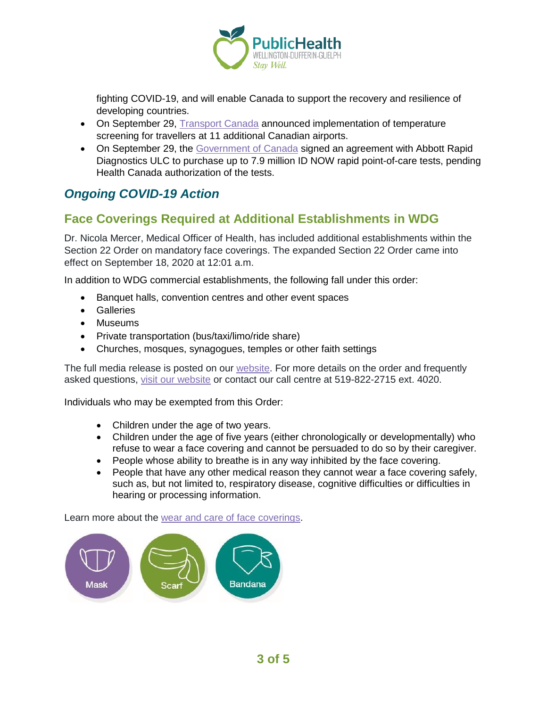

fighting COVID-19, and will enable Canada to support the recovery and resilience of developing countries.

- On September 29, [Transport Canada](https://www.canada.ca/en/transport-canada/news/2020/09/temperature-screening-for-air-travellers-expanded-to-11-additional-canadian-airports.html) announced implementation of temperature screening for travellers at 11 additional Canadian airports.
- On September 29, the [Government of Canada](https://www.canada.ca/en/public-services-procurement/news/2020/09/government-of-canada-signs-agreement-for-covid-19-rapid-tests-and-analyzers.html) signed an agreement with Abbott Rapid Diagnostics ULC to purchase up to 7.9 million ID NOW rapid point-of-care tests, pending Health Canada authorization of the tests.

## *Ongoing COVID-19 Action*

## **Face Coverings Required at Additional Establishments in WDG**

Dr. Nicola Mercer, Medical Officer of Health, has included additional establishments within the Section 22 Order on mandatory face coverings. The expanded Section 22 Order came into effect on September 18, 2020 at 12:01 a.m.

In addition to WDG commercial establishments, the following fall under this order:

- Banquet halls, convention centres and other event spaces
- Galleries
- Museums
- Private transportation (bus/taxi/limo/ride share)
- Churches, mosques, synagogues, temples or other faith settings

The full media release is posted on our [website.](https://www.wdgpublichealth.ca/news/increasing-cases-our-region-prompt-updates-dr-nicola-mercer%E2%80%99s-section-22-order) For more details on the order and frequently asked questions, [visit our website](https://www.wdgpublichealth.ca/your-health/covid-19-information-public/face-coverings-class-order-and-faqs) or contact our call centre at 519-822-2715 ext. 4020.

Individuals who may be exempted from this Order:

- Children under the age of two years.
- Children under the age of five years (either chronologically or developmentally) who refuse to wear a face covering and cannot be persuaded to do so by their caregiver.
- People whose ability to breathe is in any way inhibited by the face covering.
- People that have any other medical reason they cannot wear a face covering safely, such as, but not limited to, respiratory disease, cognitive difficulties or difficulties in hearing or processing information.

Learn more about the [wear and care of face coverings.](https://www.wdgpublichealth.ca/your-health/covid-19-information-public/face-coverings-class-order-and-faqs/wear-and-care-face)

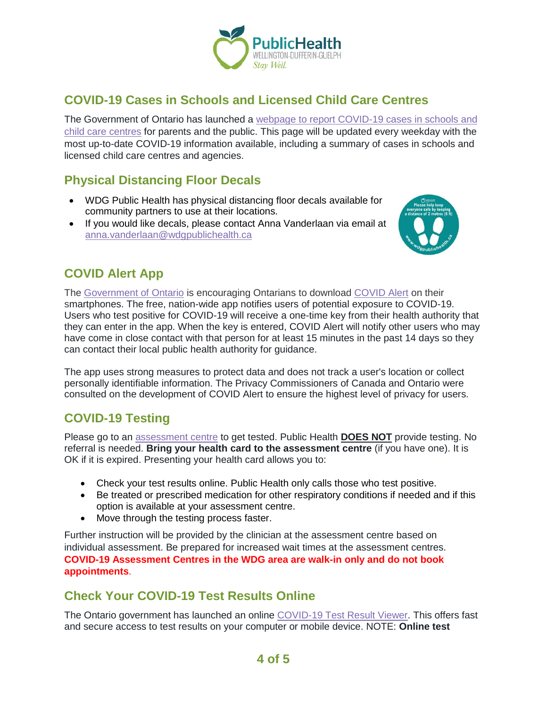

## **COVID-19 Cases in Schools and Licensed Child Care Centres**

The Government of Ontario has launched a [webpage to report COVID-19 cases in schools and](https://www.ontario.ca/page/covid-19-cases-schools-and-child-care-centres)  [child care centres](https://www.ontario.ca/page/covid-19-cases-schools-and-child-care-centres) for parents and the public. This page will be updated every weekday with the most up-to-date COVID-19 information available, including a summary of cases in schools and licensed child care centres and agencies.

## **Physical Distancing Floor Decals**

- WDG Public Health has physical distancing floor decals available for community partners to use at their locations.
- If you would like decals, please contact Anna Vanderlaan via email at [anna.vanderlaan@wdgpublichealth.ca](mailto:anna.vanderlaan@wdgpublichealth.ca)



## **COVID Alert App**

The [Government of Ontario](https://news.ontario.ca/opo/en/2020/07/covid-alert-available-for-download-beginning-today.html) is encouraging Ontarians to download [COVID Alert](https://covid-19.ontario.ca/covidalert?_ga=2.68068817.1702415536.1596548534-1123331746.1579028832) on their smartphones. The free, nation-wide app notifies users of potential exposure to COVID-19. Users who test positive for COVID-19 will receive a one-time key from their health authority that they can enter in the app. When the key is entered, COVID Alert will notify other users who may have come in close contact with that person for at least 15 minutes in the past 14 days so they can contact their local public health authority for guidance.

The app uses strong measures to protect data and does not track a user's location or collect personally identifiable information. The Privacy Commissioners of Canada and Ontario were consulted on the development of COVID Alert to ensure the highest level of privacy for users.

## **COVID-19 Testing**

Please go to an [assessment centre](https://wdgpublichealth.ca/your-health/covid-19-information-public/assessment-centres-wdg) to get tested. Public Health **DOES NOT** provide testing. No referral is needed. **Bring your health card to the assessment centre** (if you have one). It is OK if it is expired. Presenting your health card allows you to:

- Check your test results online. Public Health only calls those who test positive.
- Be treated or prescribed medication for other respiratory conditions if needed and if this option is available at your assessment centre.
- Move through the testing process faster.

Further instruction will be provided by the clinician at the assessment centre based on individual assessment. Be prepared for increased wait times at the assessment centres. **COVID-19 Assessment Centres in the WDG area are walk-in only and do not book appointments**.

## **Check Your COVID-19 Test Results Online**

The Ontario government has launched an online [COVID-19 Test Result Viewer.](https://covid19results.ehealthontario.ca:4443/agree) This offers fast and secure access to test results on your computer or mobile device. NOTE: **Online test**